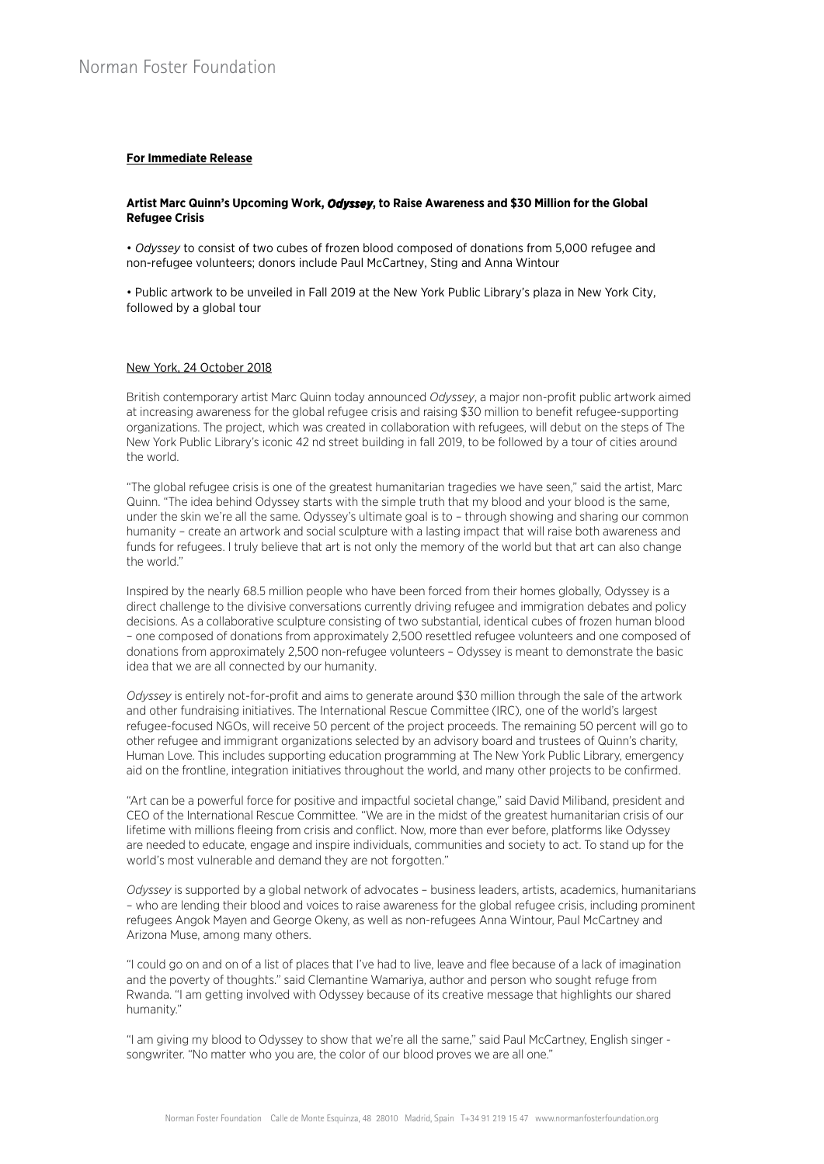## **For Immediate Release**

## **Artist Marc Quinn's Upcoming Work,** *Odyssey***, to Raise Awareness and \$30 Million for the Global Refugee Crisis**

• *Odyssey* to consist of two cubes of frozen blood composed of donations from 5,000 refugee and non-refugee volunteers; donors include Paul McCartney, Sting and Anna Wintour

• Public artwork to be unveiled in Fall 2019 at the New York Public Library's plaza in New York City, followed by a global tour

#### New York, 24 October 2018

British contemporary artist Marc Quinn today announced *Odyssey*, a major non-profit public artwork aimed at increasing awareness for the global refugee crisis and raising \$30 million to benefit refugee-supporting organizations. The project, which was created in collaboration with refugees, will debut on the steps of The New York Public Library's iconic 42 nd street building in fall 2019, to be followed by a tour of cities around the world.

"The global refugee crisis is one of the greatest humanitarian tragedies we have seen," said the artist, Marc Quinn. "The idea behind Odyssey starts with the simple truth that my blood and your blood is the same, under the skin we're all the same. Odyssey's ultimate goal is to – through showing and sharing our common humanity – create an artwork and social sculpture with a lasting impact that will raise both awareness and funds for refugees. I truly believe that art is not only the memory of the world but that art can also change the world."

Inspired by the nearly 68.5 million people who have been forced from their homes globally, Odyssey is a direct challenge to the divisive conversations currently driving refugee and immigration debates and policy decisions. As a collaborative sculpture consisting of two substantial, identical cubes of frozen human blood – one composed of donations from approximately 2,500 resettled refugee volunteers and one composed of donations from approximately 2,500 non-refugee volunteers – Odyssey is meant to demonstrate the basic idea that we are all connected by our humanity.

*Odyssey* is entirely not-for-profit and aims to generate around \$30 million through the sale of the artwork and other fundraising initiatives. The International Rescue Committee (IRC), one of the world's largest refugee-focused NGOs, will receive 50 percent of the project proceeds. The remaining 50 percent will go to other refugee and immigrant organizations selected by an advisory board and trustees of Quinn's charity, Human Love. This includes supporting education programming at The New York Public Library, emergency aid on the frontline, integration initiatives throughout the world, and many other projects to be confirmed.

"Art can be a powerful force for positive and impactful societal change," said David Miliband, president and CEO of the International Rescue Committee. "We are in the midst of the greatest humanitarian crisis of our lifetime with millions fleeing from crisis and conflict. Now, more than ever before, platforms like Odyssey are needed to educate, engage and inspire individuals, communities and society to act. To stand up for the world's most vulnerable and demand they are not forgotten."

*Odyssey* is supported by a global network of advocates – business leaders, artists, academics, humanitarians – who are lending their blood and voices to raise awareness for the global refugee crisis, including prominent refugees Angok Mayen and George Okeny, as well as non-refugees Anna Wintour, Paul McCartney and Arizona Muse, among many others.

"I could go on and on of a list of places that I've had to live, leave and flee because of a lack of imagination and the poverty of thoughts." said Clemantine Wamariya, author and person who sought refuge from Rwanda. "I am getting involved with Odyssey because of its creative message that highlights our shared humanity."

"I am giving my blood to Odyssey to show that we're all the same," said Paul McCartney, English singer songwriter. "No matter who you are, the color of our blood proves we are all one."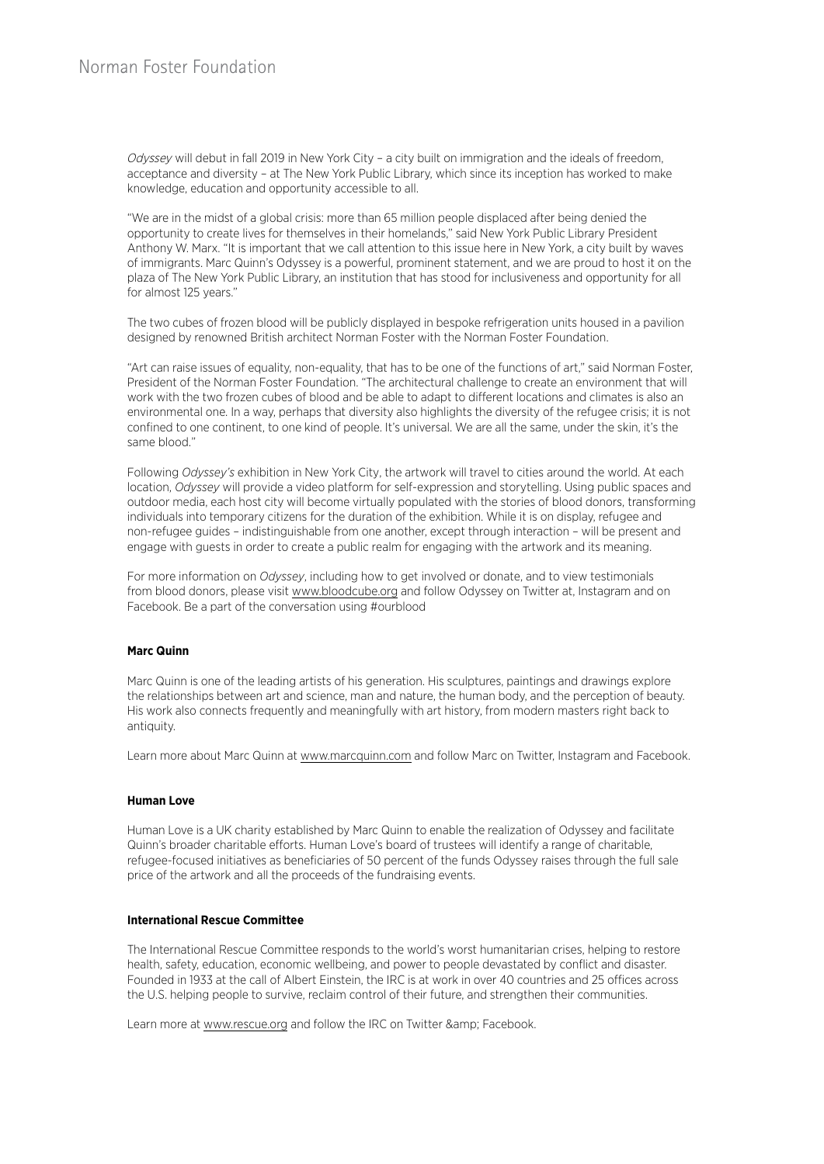Odyssey will debut in fall 2019 in New York City - a city built on immigration and the ideals of freedom, acceptance and diversity – at The New York Public Library, which since its inception has worked to make knowledge, education and opportunity accessible to all.

"We are in the midst of a global crisis: more than 65 million people displaced after being denied the opportunity to create lives for themselves in their homelands," said New York Public Library President Anthony W. Marx. "It is important that we call attention to this issue here in New York, a city built by waves of immigrants. Marc Quinn's Odyssey is a powerful, prominent statement, and we are proud to host it on the plaza of The New York Public Library, an institution that has stood for inclusiveness and opportunity for all for almost 125 years."

The two cubes of frozen blood will be publicly displayed in bespoke refrigeration units housed in a pavilion designed by renowned British architect Norman Foster with the Norman Foster Foundation.

"Art can raise issues of equality, non-equality, that has to be one of the functions of art," said Norman Foster, President of the Norman Foster Foundation. "The architectural challenge to create an environment that will work with the two frozen cubes of blood and be able to adapt to different locations and climates is also an environmental one. In a way, perhaps that diversity also highlights the diversity of the refugee crisis; it is not confined to one continent, to one kind of people. It's universal. We are all the same, under the skin, it's the same blood."

Following *Odyssey's* exhibition in New York City, the artwork will travel to cities around the world. At each location, *Odyssey* will provide a video platform for self-expression and storytelling. Using public spaces and outdoor media, each host city will become virtually populated with the stories of blood donors, transforming individuals into temporary citizens for the duration of the exhibition. While it is on display, refugee and non-refugee guides – indistinguishable from one another, except through interaction – will be present and engage with guests in order to create a public realm for engaging with the artwork and its meaning.

For more information on *Odyssey*, including how to get involved or donate, and to view testimonials from blood donors, please visit www.bloodcube.org and follow Odyssey on Twitter at, Instagram and on Facebook. Be a part of the conversation using #ourblood

## **Marc Quinn**

Marc Quinn is one of the leading artists of his generation. His sculptures, paintings and drawings explore the relationships between art and science, man and nature, the human body, and the perception of beauty. His work also connects frequently and meaningfully with art history, from modern masters right back to antiquity.

Learn more about Marc Quinn at www.marcquinn.com and follow Marc on Twitter, Instagram and Facebook.

## **Human Love**

Human Love is a UK charity established by Marc Quinn to enable the realization of Odyssey and facilitate Quinn's broader charitable efforts. Human Love's board of trustees will identify a range of charitable, refugee-focused initiatives as beneficiaries of 50 percent of the funds Odyssey raises through the full sale price of the artwork and all the proceeds of the fundraising events.

# **International Rescue Committee**

The International Rescue Committee responds to the world's worst humanitarian crises, helping to restore health, safety, education, economic wellbeing, and power to people devastated by conflict and disaster. Founded in 1933 at the call of Albert Einstein, the IRC is at work in over 40 countries and 25 offices across the U.S. helping people to survive, reclaim control of their future, and strengthen their communities.

Learn more at www.rescue.org and follow the IRC on Twitter & amp; Facebook.